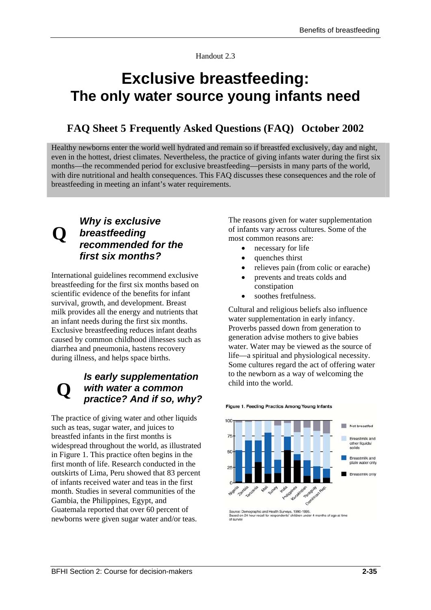Handout 2.3

## **Exclusive breastfeeding: The only water source young infants need**

## **FAQ Sheet 5 Frequently Asked Questions (FAQ) October 2002**

Healthy newborns enter the world well hydrated and remain so if breastfed exclusively, day and night, even in the hottest, driest climates. Nevertheless, the practice of giving infants water during the first six months—the recommended period for exclusive breastfeeding—persists in many parts of the world, with dire nutritional and health consequences. This FAQ discusses these consequences and the role of breastfeeding in meeting an infant's water requirements.

# **Q**

## *Why is exclusive breastfeeding recommended for the first six months?*

International guidelines recommend exclusive breastfeeding for the first six months based on scientific evidence of the benefits for infant survival, growth, and development. Breast milk provides all the energy and nutrients that an infant needs during the first six months. Exclusive breastfeeding reduces infant deaths caused by common childhood illnesses such as diarrhea and pneumonia, hastens recovery during illness, and helps space births.

### **Q**  *Is early supplementation with water a common practice? And if so, why?*

The practice of giving water and other liquids such as teas, sugar water, and juices to breastfed infants in the first months is widespread throughout the world, as illustrated in Figure 1. This practice often begins in the first month of life. Research conducted in the outskirts of Lima, Peru showed that 83 percent of infants received water and teas in the first month. Studies in several communities of the Gambia, the Philippines, Egypt, and Guatemala reported that over 60 percent of newborns were given sugar water and/or teas.

The reasons given for water supplementation of infants vary across cultures. Some of the most common reasons are:

- necessary for life
- quenches thirst
- relieves pain (from colic or earache)
- prevents and treats colds and constipation
- soothes fretfulness.

Cultural and religious beliefs also influence water supplementation in early infancy. Proverbs passed down from generation to generation advise mothers to give babies water. Water may be viewed as the source of life—a spiritual and physiological necessity. Some cultures regard the act of offering water to the newborn as a way of welcoming the child into the world.

### Figure 1. Feeding Practics Among Young Infants



Source: Demographic and Health Surveys, 1990-1995.<br>Based on 24 hour recall for respondents' children under 4 months of age at time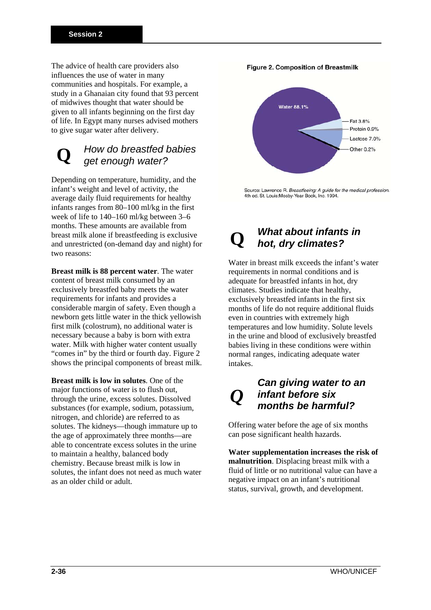The advice of health care providers also influences the use of water in many communities and hospitals. For example, a study in a Ghanaian city found that 93 percent of midwives thought that water should be given to all infants beginning on the first day of life. In Egypt many nurses advised mothers to give sugar water after delivery.

#### **Q**  *How do breastfed babies get enough water?*

Depending on temperature, humidity, and the infant's weight and level of activity, the average daily fluid requirements for healthy infants ranges from 80–100 ml/kg in the first week of life to 140–160 ml/kg between 3–6 months. These amounts are available from breast milk alone if breastfeeding is exclusive and unrestricted (on-demand day and night) for two reasons:

**Breast milk is 88 percent water**. The water content of breast milk consumed by an exclusively breastfed baby meets the water requirements for infants and provides a considerable margin of safety. Even though a newborn gets little water in the thick yellowish first milk (colostrum), no additional water is necessary because a baby is born with extra water. Milk with higher water content usually "comes in" by the third or fourth day. Figure 2 shows the principal components of breast milk.

**Breast milk is low in solutes**. One of the major functions of water is to flush out, through the urine, excess solutes. Dissolved substances (for example, sodium, potassium, nitrogen, and chloride) are referred to as solutes. The kidneys—though immature up to the age of approximately three months—are able to concentrate excess solutes in the urine to maintain a healthy, balanced body chemistry. Because breast milk is low in solutes, the infant does not need as much water as an older child or adult.



Source: Lawrence R. Breastfeeing: A guide for the medical profession. 4th ed. St. Louis: Mosby-Year Book, Inc. 1994.

### **Q** *What about infants in hot, dry climates?*

Water in breast milk exceeds the infant's water requirements in normal conditions and is adequate for breastfed infants in hot, dry climates. Studies indicate that healthy, exclusively breastfed infants in the first six months of life do not require additional fluids even in countries with extremely high temperatures and low humidity. Solute levels in the urine and blood of exclusively breastfed babies living in these conditions were within normal ranges, indicating adequate water intakes.

## *Can giving water to an infant before six months be harmful?*

*Q*

Offering water before the age of six months can pose significant health hazards.

**Water supplementation increases the risk of malnutrition**. Displacing breast milk with a fluid of little or no nutritional value can have a negative impact on an infant's nutritional status, survival, growth, and development.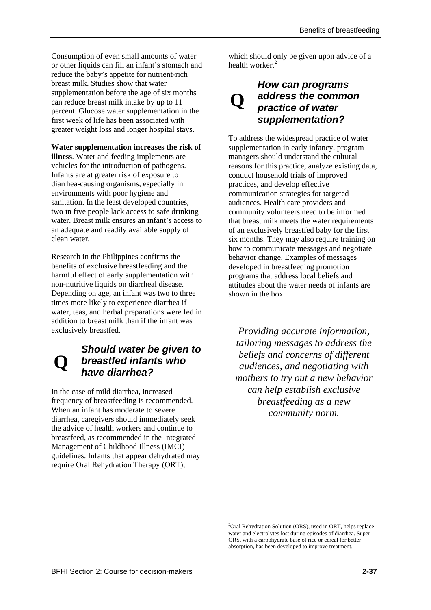Consumption of even small amounts of water or other liquids can fill an infant's stomach and reduce the baby's appetite for nutrient-rich breast milk. Studies show that water supplementation before the age of six months can reduce breast milk intake by up to 11 percent. Glucose water supplementation in the first week of life has been associated with greater weight loss and longer hospital stays.

## **Water supplementation increases the risk of**

**illness**. Water and feeding implements are vehicles for the introduction of pathogens. Infants are at greater risk of exposure to diarrhea-causing organisms, especially in environments with poor hygiene and sanitation. In the least developed countries, two in five people lack access to safe drinking water. Breast milk ensures an infant's access to an adequate and readily available supply of clean water.

Research in the Philippines confirms the benefits of exclusive breastfeeding and the harmful effect of early supplementation with non-nutritive liquids on diarrheal disease. Depending on age, an infant was two to three times more likely to experience diarrhea if water, teas, and herbal preparations were fed in addition to breast milk than if the infant was exclusively breastfed.

## **Q**  *Should water be given to breastfed infants who have diarrhea?*

In the case of mild diarrhea, increased frequency of breastfeeding is recommended. When an infant has moderate to severe diarrhea, caregivers should immediately seek the advice of health workers and continue to breastfeed, as recommended in the Integrated Management of Childhood Illness (IMCI) guidelines. Infants that appear dehydrated may require Oral Rehydration Therapy (ORT),

which should only be given upon advice of a health worker.<sup>2</sup>

## **Q** *How can programs address the common practice of water supplementation?*

To address the widespread practice of water supplementation in early infancy, program managers should understand the cultural reasons for this practice, analyze existing data, conduct household trials of improved practices, and develop effective communication strategies for targeted audiences. Health care providers and community volunteers need to be informed that breast milk meets the water requirements of an exclusively breastfed baby for the first six months. They may also require training on how to communicate messages and negotiate behavior change. Examples of messages developed in breastfeeding promotion programs that address local beliefs and attitudes about the water needs of infants are shown in the box.

*Providing accurate information, tailoring messages to address the beliefs and concerns of different audiences, and negotiating with mothers to try out a new behavior can help establish exclusive breastfeeding as a new community norm.* 

<u>.</u>

<sup>&</sup>lt;sup>2</sup>Oral Rehydration Solution (ORS), used in ORT, helps replace water and electrolytes lost during episodes of diarrhea. Super ORS, with a carbohydrate base of rice or cereal for better absorption, has been developed to improve treatment.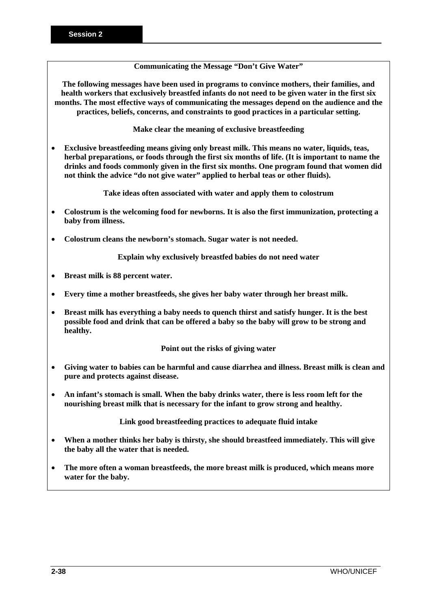## **Communicating the Message "Don't Give Water"**

**The following messages have been used in programs to convince mothers, their families, and health workers that exclusively breastfed infants do not need to be given water in the first six months. The most effective ways of communicating the messages depend on the audience and the practices, beliefs, concerns, and constraints to good practices in a particular setting.** 

**Make clear the meaning of exclusive breastfeeding** 

• **Exclusive breastfeeding means giving only breast milk. This means no water, liquids, teas, herbal preparations, or foods through the first six months of life. (It is important to name the drinks and foods commonly given in the first six months. One program found that women did not think the advice "do not give water" applied to herbal teas or other fluids).** 

**Take ideas often associated with water and apply them to colostrum** 

- **Colostrum is the welcoming food for newborns. It is also the first immunization, protecting a baby from illness.**
- **Colostrum cleans the newborn's stomach. Sugar water is not needed.**

**Explain why exclusively breastfed babies do not need water** 

- **Breast milk is 88 percent water.**
- **Every time a mother breastfeeds, she gives her baby water through her breast milk.**
- **Breast milk has everything a baby needs to quench thirst and satisfy hunger. It is the best possible food and drink that can be offered a baby so the baby will grow to be strong and healthy.**

**Point out the risks of giving water** 

- **Giving water to babies can be harmful and cause diarrhea and illness. Breast milk is clean and pure and protects against disease.**
- **An infant's stomach is small. When the baby drinks water, there is less room left for the nourishing breast milk that is necessary for the infant to grow strong and healthy.**

**Link good breastfeeding practices to adequate fluid intake** 

- **When a mother thinks her baby is thirsty, she should breastfeed immediately. This will give the baby all the water that is needed.**
- **The more often a woman breastfeeds, the more breast milk is produced, which means more water for the baby.**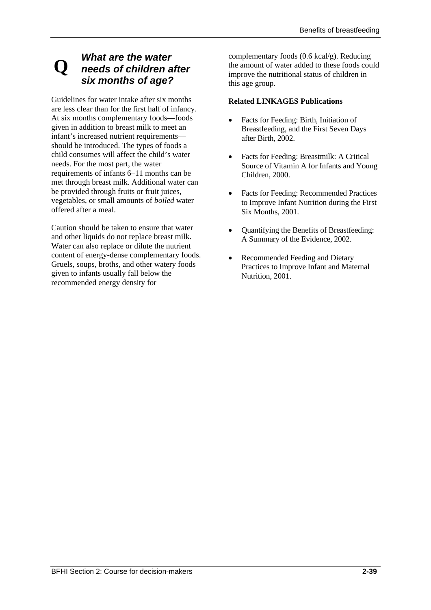# **Q** *What are the water needs of children after six months of age?*

Guidelines for water intake after six months are less clear than for the first half of infancy. At six months complementary foods—foods given in addition to breast milk to meet an infant's increased nutrient requirements should be introduced. The types of foods a child consumes will affect the child's water needs. For the most part, the water requirements of infants 6–11 months can be met through breast milk. Additional water can be provided through fruits or fruit juices, vegetables, or small amounts of *boiled* water offered after a meal.

Caution should be taken to ensure that water and other liquids do not replace breast milk. Water can also replace or dilute the nutrient content of energy-dense complementary foods. Gruels, soups, broths, and other watery foods given to infants usually fall below the recommended energy density for

complementary foods (0.6 kcal/g). Reducing the amount of water added to these foods could improve the nutritional status of children in this age group.

## **Related LINKAGES Publications**

- Facts for Feeding: Birth, Initiation of Breastfeeding, and the First Seven Days after Birth, 2002.
- Facts for Feeding: Breastmilk: A Critical Source of Vitamin A for Infants and Young Children, 2000.
- Facts for Feeding: Recommended Practices to Improve Infant Nutrition during the First Six Months, 2001.
- Quantifying the Benefits of Breastfeeding: A Summary of the Evidence, 2002.
- Recommended Feeding and Dietary Practices to Improve Infant and Maternal Nutrition, 2001.